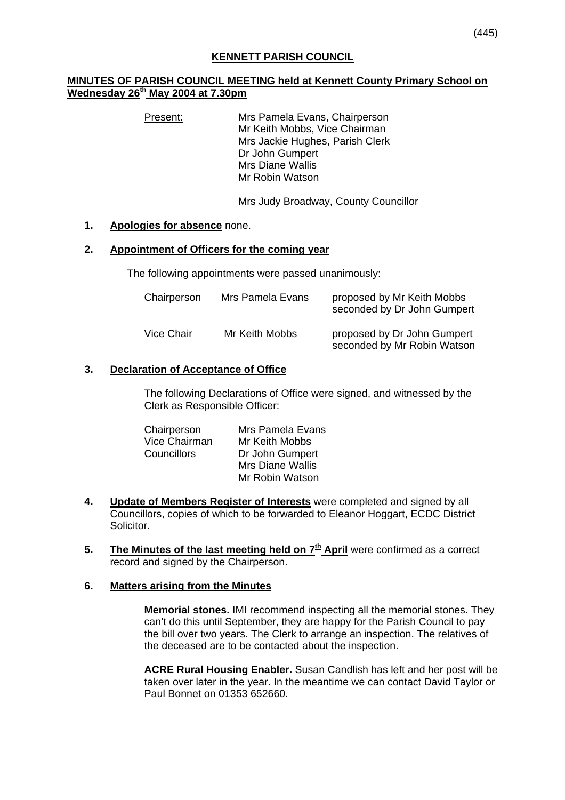### **MINUTES OF PARISH COUNCIL MEETING held at Kennett County Primary School on Wednesday 26th May 2004 at 7.30pm**

Present: Mrs Pamela Evans, Chairperson Mr Keith Mobbs, Vice Chairman Mrs Jackie Hughes, Parish Clerk Dr John Gumpert Mrs Diane Wallis Mr Robin Watson

Mrs Judy Broadway, County Councillor

#### **1. Apologies for absence** none.

#### **2. Appointment of Officers for the coming year**

The following appointments were passed unanimously:

| Chairperson | Mrs Pamela Evans | proposed by Mr Keith Mobbs<br>seconded by Dr John Gumpert  |
|-------------|------------------|------------------------------------------------------------|
| Vice Chair  | Mr Keith Mobbs   | proposed by Dr John Gumpert<br>seconded by Mr Robin Watson |

### **3. Declaration of Acceptance of Office**

 The following Declarations of Office were signed, and witnessed by the Clerk as Responsible Officer:

| Chairperson   | Mrs Pamela Evans        |
|---------------|-------------------------|
| Vice Chairman | Mr Keith Mobbs          |
| Councillors   | Dr John Gumpert         |
|               | <b>Mrs Diane Wallis</b> |
|               | Mr Robin Watson         |

- **4. Update of Members Register of Interests** were completed and signed by all Councillors, copies of which to be forwarded to Eleanor Hoggart, ECDC District Solicitor.
- **5.** The Minutes of the last meeting held on  $7<sup>th</sup>$  April were confirmed as a correct record and signed by the Chairperson.

#### **6. Matters arising from the Minutes**

**Memorial stones.** IMI recommend inspecting all the memorial stones. They can't do this until September, they are happy for the Parish Council to pay the bill over two years. The Clerk to arrange an inspection. The relatives of the deceased are to be contacted about the inspection.

**ACRE Rural Housing Enabler.** Susan Candlish has left and her post will be taken over later in the year. In the meantime we can contact David Taylor or Paul Bonnet on 01353 652660.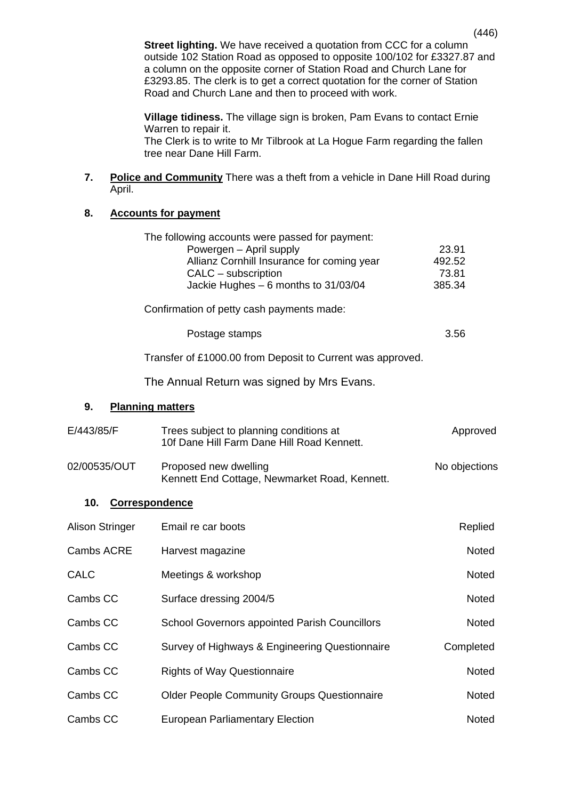**Street lighting.** We have received a quotation from CCC for a column outside 102 Station Road as opposed to opposite 100/102 for £3327.87 and a column on the opposite corner of Station Road and Church Lane for £3293.85. The clerk is to get a correct quotation for the corner of Station Road and Church Lane and then to proceed with work.

**Village tidiness.** The village sign is broken, Pam Evans to contact Ernie Warren to repair it.

The Clerk is to write to Mr Tilbrook at La Hogue Farm regarding the fallen tree near Dane Hill Farm.

**7. Police and Community** There was a theft from a vehicle in Dane Hill Road during April.

## **8. Accounts for payment**

|                               | The following accounts were passed for payment:<br>Powergen - April supply<br>Allianz Cornhill Insurance for coming year<br>CALC - subscription<br>Jackie Hughes - 6 months to 31/03/04 | 23.91<br>492.52<br>73.81<br>385.34 |
|-------------------------------|-----------------------------------------------------------------------------------------------------------------------------------------------------------------------------------------|------------------------------------|
|                               | Confirmation of petty cash payments made:                                                                                                                                               |                                    |
|                               | Postage stamps                                                                                                                                                                          | 3.56                               |
|                               | Transfer of £1000.00 from Deposit to Current was approved.                                                                                                                              |                                    |
|                               | The Annual Return was signed by Mrs Evans.                                                                                                                                              |                                    |
| 9.<br><b>Planning matters</b> |                                                                                                                                                                                         |                                    |
| E/443/85/F                    | Trees subject to planning conditions at<br>10f Dane Hill Farm Dane Hill Road Kennett.                                                                                                   | Approved                           |
| 02/00535/OUT                  | Proposed new dwelling<br>Kennett End Cottage, Newmarket Road, Kennett.                                                                                                                  | No objections                      |
| 10.<br>Correspondence         |                                                                                                                                                                                         |                                    |
| <b>Alison Stringer</b>        | Email re car boots                                                                                                                                                                      | Replied                            |
| Cambs ACRE                    | Harvest magazine                                                                                                                                                                        | Noted                              |
| <b>CALC</b>                   | Meetings & workshop                                                                                                                                                                     | <b>Noted</b>                       |
| Cambs CC                      | Surface dressing 2004/5                                                                                                                                                                 | Noted                              |
| Cambs CC                      | <b>School Governors appointed Parish Councillors</b>                                                                                                                                    | <b>Noted</b>                       |
| Cambs CC                      | Survey of Highways & Engineering Questionnaire                                                                                                                                          | Completed                          |
| Cambs CC                      | <b>Rights of Way Questionnaire</b>                                                                                                                                                      | <b>Noted</b>                       |
| Cambs CC                      | <b>Older People Community Groups Questionnaire</b>                                                                                                                                      |                                    |
| Cambs CC                      | <b>European Parliamentary Election</b>                                                                                                                                                  | Noted                              |